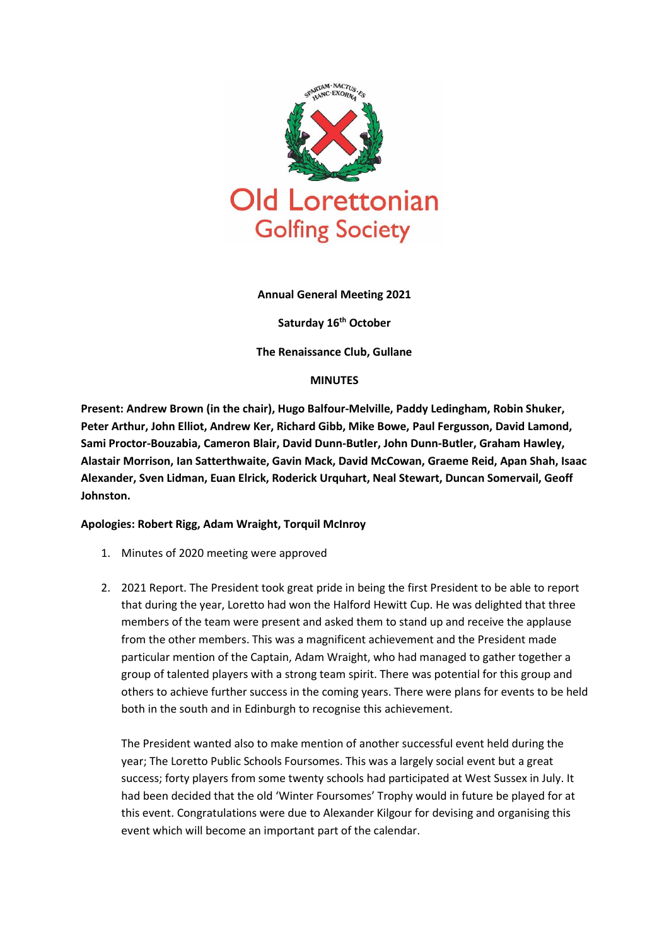

#### **Annual General Meeting 2021**

**Saturday 16th October**

**The Renaissance Club, Gullane**

#### **MINUTES**

**Present: Andrew Brown (in the chair), Hugo Balfour-Melville, Paddy Ledingham, Robin Shuker, Peter Arthur, John Elliot, Andrew Ker, Richard Gibb, Mike Bowe, Paul Fergusson, David Lamond, Sami Proctor-Bouzabia, Cameron Blair, David Dunn-Butler, John Dunn-Butler, Graham Hawley, Alastair Morrison, Ian Satterthwaite, Gavin Mack, David McCowan, Graeme Reid, Apan Shah, Isaac Alexander, Sven Lidman, Euan Elrick, Roderick Urquhart, Neal Stewart, Duncan Somervail, Geoff Johnston.**

### **Apologies: Robert Rigg, Adam Wraight, Torquil McInroy**

- 1. Minutes of 2020 meeting were approved
- 2. 2021 Report. The President took great pride in being the first President to be able to report that during the year, Loretto had won the Halford Hewitt Cup. He was delighted that three members of the team were present and asked them to stand up and receive the applause from the other members. This was a magnificent achievement and the President made particular mention of the Captain, Adam Wraight, who had managed to gather together a group of talented players with a strong team spirit. There was potential for this group and others to achieve further success in the coming years. There were plans for events to be held both in the south and in Edinburgh to recognise this achievement.

The President wanted also to make mention of another successful event held during the year; The Loretto Public Schools Foursomes. This was a largely social event but a great success; forty players from some twenty schools had participated at West Sussex in July. It had been decided that the old 'Winter Foursomes' Trophy would in future be played for at this event. Congratulations were due to Alexander Kilgour for devising and organising this event which will become an important part of the calendar.